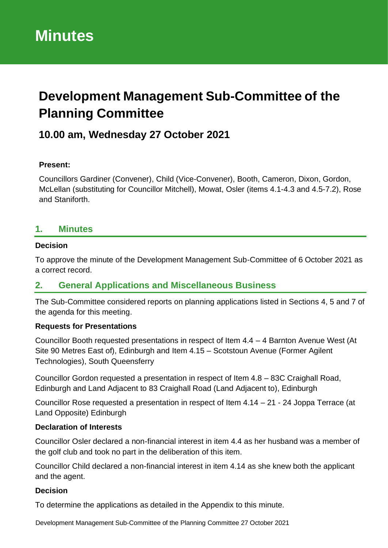# **Development Management Sub-Committee of the Planning Committee**

# **10.00 am, Wednesday 27 October 2021**

#### **Present:**

Councillors Gardiner (Convener), Child (Vice-Convener), Booth, Cameron, Dixon, Gordon, McLellan (substituting for Councillor Mitchell), Mowat, Osler (items 4.1-4.3 and 4.5-7.2), Rose and Staniforth.

#### **1. Minutes**

#### **Decision**

To approve the minute of the Development Management Sub-Committee of 6 October 2021 as a correct record.

### **2. General Applications and Miscellaneous Business**

The Sub-Committee considered reports on planning applications listed in Sections 4, 5 and 7 of the agenda for this meeting.

#### **Requests for Presentations**

Councillor Booth requested presentations in respect of Item 4.4 – 4 Barnton Avenue West (At Site 90 Metres East of), Edinburgh and Item 4.15 – Scotstoun Avenue (Former Agilent Technologies), South Queensferry

Councillor Gordon requested a presentation in respect of Item 4.8 – 83C Craighall Road, Edinburgh and Land Adjacent to 83 Craighall Road (Land Adjacent to), Edinburgh

Councillor Rose requested a presentation in respect of Item 4.14 – 21 - 24 Joppa Terrace (at Land Opposite) Edinburgh

#### **Declaration of Interests**

Councillor Osler declared a non-financial interest in item 4.4 as her husband was a member of the golf club and took no part in the deliberation of this item.

Councillor Child declared a non-financial interest in item 4.14 as she knew both the applicant and the agent.

#### **Decision**

To determine the applications as detailed in the Appendix to this minute.

Development Management Sub-Committee of the Planning Committee 27 October 2021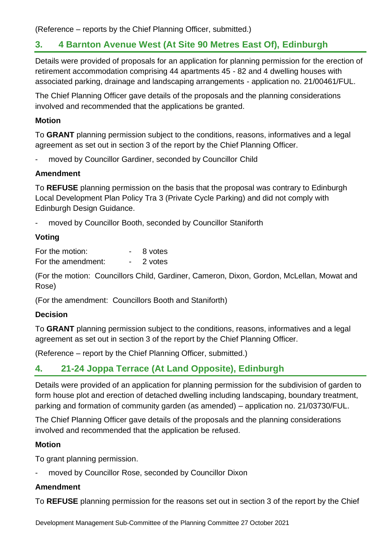(Reference – reports by the Chief Planning Officer, submitted.)

### **3. 4 Barnton Avenue West (At Site 90 Metres East Of), Edinburgh**

Details were provided of proposals for an application for planning permission for the erection of retirement accommodation comprising 44 apartments 45 - 82 and 4 dwelling houses with associated parking, drainage and landscaping arrangements - application no. 21/00461/FUL.

The Chief Planning Officer gave details of the proposals and the planning considerations involved and recommended that the applications be granted.

#### **Motion**

To **GRANT** planning permission subject to the conditions, reasons, informatives and a legal agreement as set out in section 3 of the report by the Chief Planning Officer.

moved by Councillor Gardiner, seconded by Councillor Child

#### **Amendment**

To **REFUSE** planning permission on the basis that the proposal was contrary to Edinburgh Local Development Plan Policy Tra 3 (Private Cycle Parking) and did not comply with Edinburgh Design Guidance.

moved by Councillor Booth, seconded by Councillor Staniforth

#### **Voting**

| For the motion:    | 8 votes |
|--------------------|---------|
| For the amendment: | 2 votes |

(For the motion: Councillors Child, Gardiner, Cameron, Dixon, Gordon, McLellan, Mowat and Rose)

(For the amendment: Councillors Booth and Staniforth)

#### **Decision**

To **GRANT** planning permission subject to the conditions, reasons, informatives and a legal agreement as set out in section 3 of the report by the Chief Planning Officer.

(Reference – report by the Chief Planning Officer, submitted.)

## **4. 21-24 Joppa Terrace (At Land Opposite), Edinburgh**

Details were provided of an application for planning permission for the subdivision of garden to form house plot and erection of detached dwelling including landscaping, boundary treatment, parking and formation of community garden (as amended) – application no. 21/03730/FUL.

The Chief Planning Officer gave details of the proposals and the planning considerations involved and recommended that the application be refused.

#### **Motion**

To grant planning permission.

moved by Councillor Rose, seconded by Councillor Dixon

#### **Amendment**

To **REFUSE** planning permission for the reasons set out in section 3 of the report by the Chief

Development Management Sub-Committee of the Planning Committee 27 October 2021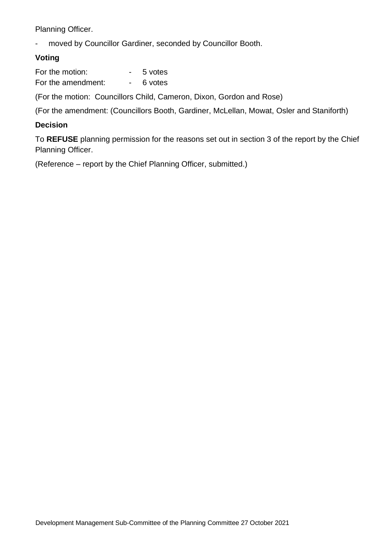Planning Officer.

moved by Councillor Gardiner, seconded by Councillor Booth.

#### **Voting**

| For the motion:    | 5 votes |
|--------------------|---------|
| For the amendment: | 6 votes |

(For the motion: Councillors Child, Cameron, Dixon, Gordon and Rose)

(For the amendment: (Councillors Booth, Gardiner, McLellan, Mowat, Osler and Staniforth)

#### **Decision**

To **REFUSE** planning permission for the reasons set out in section 3 of the report by the Chief Planning Officer.

(Reference – report by the Chief Planning Officer, submitted.)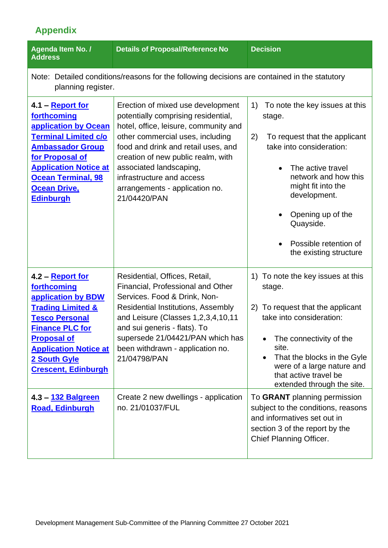# **Appendix**

| Agenda Item No. /<br><b>Address</b>                                                                                                                                                                                                                 | <b>Details of Proposal/Reference No</b>                                                                                                                                                                                                                                                                                                      | <b>Decision</b>                                                                                                                                                                                                                                                                                        |
|-----------------------------------------------------------------------------------------------------------------------------------------------------------------------------------------------------------------------------------------------------|----------------------------------------------------------------------------------------------------------------------------------------------------------------------------------------------------------------------------------------------------------------------------------------------------------------------------------------------|--------------------------------------------------------------------------------------------------------------------------------------------------------------------------------------------------------------------------------------------------------------------------------------------------------|
| Note: Detailed conditions/reasons for the following decisions are contained in the statutory<br>planning register.                                                                                                                                  |                                                                                                                                                                                                                                                                                                                                              |                                                                                                                                                                                                                                                                                                        |
| 4.1 – <b>Report for</b><br>forthcoming<br>application by Ocean<br><b>Terminal Limited c/o</b><br><b>Ambassador Group</b><br>for Proposal of<br><b>Application Notice at</b><br><b>Ocean Terminal, 98</b><br><b>Ocean Drive,</b><br><b>Edinburgh</b> | Erection of mixed use development<br>potentially comprising residential,<br>hotel, office, leisure, community and<br>other commercial uses, including<br>food and drink and retail uses, and<br>creation of new public realm, with<br>associated landscaping,<br>infrastructure and access<br>arrangements - application no.<br>21/04420/PAN | 1)<br>To note the key issues at this<br>stage.<br>2)<br>To request that the applicant<br>take into consideration:<br>The active travel<br>$\bullet$<br>network and how this<br>might fit into the<br>development.<br>Opening up of the<br>Quayside.<br>Possible retention of<br>the existing structure |
| 4.2 – Report for<br>forthcoming<br>application by BDW<br><b>Trading Limited &amp;</b><br><b>Tesco Personal</b><br><b>Finance PLC for</b><br><b>Proposal of</b><br><b>Application Notice at</b><br>2 South Gyle<br><b>Crescent, Edinburgh</b>        | Residential, Offices, Retail,<br>Financial, Professional and Other<br>Services. Food & Drink, Non-<br><b>Residential Institutions, Assembly</b><br>and Leisure (Classes 1,2,3,4,10,11<br>and sui generis - flats). To<br>supersede 21/04421/PAN which has<br>been withdrawn - application no.<br>21/04798/PAN                                | 1) To note the key issues at this<br>stage.<br>To request that the applicant<br>2)<br>take into consideration:<br>The connectivity of the<br>site.<br>That the blocks in the Gyle<br>were of a large nature and<br>that active travel be<br>extended through the site.                                 |
| 4.3 - 132 Balgreen<br><b>Road, Edinburgh</b>                                                                                                                                                                                                        | Create 2 new dwellings - application<br>no. 21/01037/FUL                                                                                                                                                                                                                                                                                     | To GRANT planning permission<br>subject to the conditions, reasons<br>and informatives set out in<br>section 3 of the report by the<br><b>Chief Planning Officer.</b>                                                                                                                                  |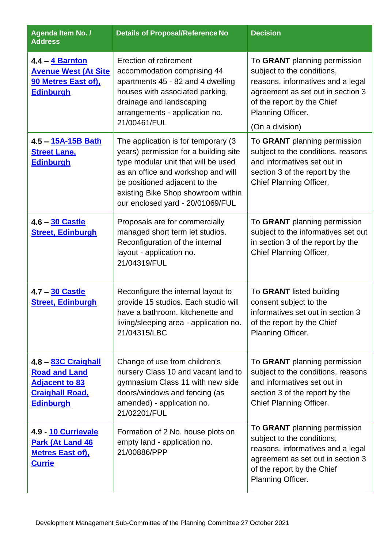| Agenda Item No. /<br><b>Address</b>                                                                                | <b>Details of Proposal/Reference No</b>                                                                                                                                                                                                                               | <b>Decision</b>                                                                                                                                                                                            |
|--------------------------------------------------------------------------------------------------------------------|-----------------------------------------------------------------------------------------------------------------------------------------------------------------------------------------------------------------------------------------------------------------------|------------------------------------------------------------------------------------------------------------------------------------------------------------------------------------------------------------|
| 4.4 - 4 Barnton<br><b>Avenue West (At Site</b><br><b>90 Metres East of),</b><br><b>Edinburgh</b>                   | Erection of retirement<br>accommodation comprising 44<br>apartments 45 - 82 and 4 dwelling<br>houses with associated parking,<br>drainage and landscaping<br>arrangements - application no.<br>21/00461/FUL                                                           | To GRANT planning permission<br>subject to the conditions,<br>reasons, informatives and a legal<br>agreement as set out in section 3<br>of the report by the Chief<br>Planning Officer.<br>(On a division) |
| 4.5 - 15A-15B Bath<br><b>Street Lane,</b><br><b>Edinburgh</b>                                                      | The application is for temporary (3)<br>years) permission for a building site<br>type modular unit that will be used<br>as an office and workshop and will<br>be positioned adjacent to the<br>existing Bike Shop showroom within<br>our enclosed yard - 20/01069/FUL | To GRANT planning permission<br>subject to the conditions, reasons<br>and informatives set out in<br>section 3 of the report by the<br>Chief Planning Officer.                                             |
| 4.6 - 30 Castle<br><b>Street, Edinburgh</b>                                                                        | Proposals are for commercially<br>managed short term let studios.<br>Reconfiguration of the internal<br>layout - application no.<br>21/04319/FUL                                                                                                                      | To GRANT planning permission<br>subject to the informatives set out<br>in section 3 of the report by the<br>Chief Planning Officer.                                                                        |
| 4.7 - 30 Castle<br><b>Street, Edinburgh</b>                                                                        | Reconfigure the internal layout to<br>provide 15 studios. Each studio will<br>have a bathroom, kitchenette and<br>living/sleeping area - application no.<br>21/04315/LBC                                                                                              | To GRANT listed building<br>consent subject to the<br>informatives set out in section 3<br>of the report by the Chief<br>Planning Officer.                                                                 |
| 4.8 - 83C Craighall<br><b>Road and Land</b><br><b>Adjacent to 83</b><br><b>Craighall Road,</b><br><b>Edinburgh</b> | Change of use from children's<br>nursery Class 10 and vacant land to<br>gymnasium Class 11 with new side<br>doors/windows and fencing (as<br>amended) - application no.<br>21/02201/FUL                                                                               | To GRANT planning permission<br>subject to the conditions, reasons<br>and informatives set out in<br>section 3 of the report by the<br>Chief Planning Officer.                                             |
| 4.9 - 10 Currievale<br>Park (At Land 46<br><b>Metres East of),</b><br><u>Currie</u>                                | Formation of 2 No. house plots on<br>empty land - application no.<br>21/00886/PPP                                                                                                                                                                                     | To GRANT planning permission<br>subject to the conditions,<br>reasons, informatives and a legal<br>agreement as set out in section 3<br>of the report by the Chief<br>Planning Officer.                    |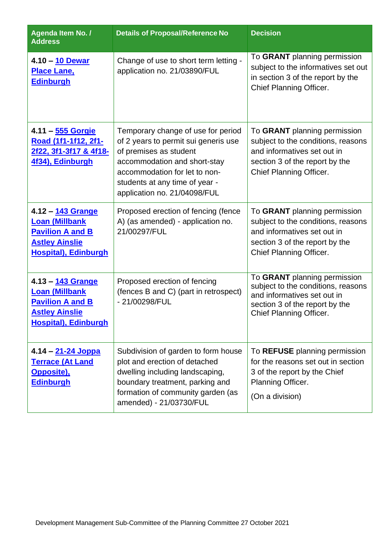| <b>Agenda Item No. /</b><br><b>Address</b>                                                                                    | <b>Details of Proposal/Reference No</b>                                                                                                                                                                                                 | <b>Decision</b>                                                                                                                                                |
|-------------------------------------------------------------------------------------------------------------------------------|-----------------------------------------------------------------------------------------------------------------------------------------------------------------------------------------------------------------------------------------|----------------------------------------------------------------------------------------------------------------------------------------------------------------|
| 4.10 - 10 Dewar<br><b>Place Lane,</b><br><b>Edinburgh</b>                                                                     | Change of use to short term letting -<br>application no. 21/03890/FUL                                                                                                                                                                   | To GRANT planning permission<br>subject to the informatives set out<br>in section 3 of the report by the<br>Chief Planning Officer.                            |
| 4.11 - 555 Gorgie<br>Road (1f1-1f12, 2f1-<br>2f22, 3f1-3f17 & 4f18-<br>4f34), Edinburgh                                       | Temporary change of use for period<br>of 2 years to permit sui generis use<br>of premises as student<br>accommodation and short-stay<br>accommodation for let to non-<br>students at any time of year -<br>application no. 21/04098/FUL | To GRANT planning permission<br>subject to the conditions, reasons<br>and informatives set out in<br>section 3 of the report by the<br>Chief Planning Officer. |
| 4.12 - 143 Grange<br><b>Loan (Millbank</b><br><b>Pavilion A and B</b><br><b>Astley Ainslie</b><br><b>Hospital), Edinburgh</b> | Proposed erection of fencing (fence<br>A) (as amended) - application no.<br>21/00297/FUL                                                                                                                                                | To GRANT planning permission<br>subject to the conditions, reasons<br>and informatives set out in<br>section 3 of the report by the<br>Chief Planning Officer. |
| 4.13 - 143 Grange<br><b>Loan (Millbank</b><br><b>Pavilion A and B</b><br><b>Astley Ainslie</b><br><b>Hospital), Edinburgh</b> | Proposed erection of fencing<br>(fences B and C) (part in retrospect)<br>- 21/00298/FUL                                                                                                                                                 | To GRANT planning permission<br>subject to the conditions, reasons<br>and informatives set out in<br>section 3 of the report by the<br>Chief Planning Officer. |
| 4.14 – <u>21-24 Joppa</u><br><b>Terrace (At Land</b><br><b>Opposite)</b> ,<br><b>Edinburgh</b>                                | Subdivision of garden to form house<br>plot and erection of detached<br>dwelling including landscaping,<br>boundary treatment, parking and<br>formation of community garden (as<br>amended) - 21/03730/FUL                              | To REFUSE planning permission<br>for the reasons set out in section<br>3 of the report by the Chief<br>Planning Officer.<br>(On a division)                    |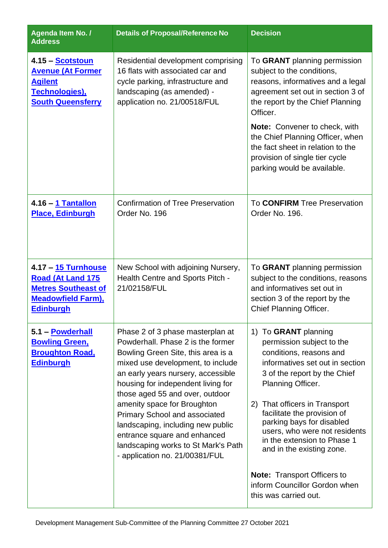| Agenda Item No. /<br><b>Address</b>                                                                                            | <b>Details of Proposal/Reference No</b>                                                                                                                                                                                                                                                                                                                                                                                                                                              | <b>Decision</b>                                                                                                                                                                                                                                                                                                                                                                                                                                                |
|--------------------------------------------------------------------------------------------------------------------------------|--------------------------------------------------------------------------------------------------------------------------------------------------------------------------------------------------------------------------------------------------------------------------------------------------------------------------------------------------------------------------------------------------------------------------------------------------------------------------------------|----------------------------------------------------------------------------------------------------------------------------------------------------------------------------------------------------------------------------------------------------------------------------------------------------------------------------------------------------------------------------------------------------------------------------------------------------------------|
| 4.15 – <u>Scotstoun</u><br><b>Avenue (At Former</b><br><b>Agilent</b><br>Technologies),<br><b>South Queensferry</b>            | Residential development comprising<br>16 flats with associated car and<br>cycle parking, infrastructure and<br>landscaping (as amended) -<br>application no. 21/00518/FUL                                                                                                                                                                                                                                                                                                            | To GRANT planning permission<br>subject to the conditions,<br>reasons, informatives and a legal<br>agreement set out in section 3 of<br>the report by the Chief Planning<br>Officer.<br><b>Note:</b> Convener to check, with<br>the Chief Planning Officer, when<br>the fact sheet in relation to the<br>provision of single tier cycle<br>parking would be available.                                                                                         |
| 4.16 - 1 Tantallon<br><b>Place, Edinburgh</b>                                                                                  | <b>Confirmation of Tree Preservation</b><br>Order No. 196                                                                                                                                                                                                                                                                                                                                                                                                                            | To <b>CONFIRM</b> Tree Preservation<br>Order No. 196.                                                                                                                                                                                                                                                                                                                                                                                                          |
| 4.17 - 15 Turnhouse<br><b>Road (At Land 175</b><br><b>Metres Southeast of</b><br><b>Meadowfield Farm),</b><br><b>Edinburgh</b> | New School with adjoining Nursery,<br>Health Centre and Sports Pitch -<br>21/02158/FUL                                                                                                                                                                                                                                                                                                                                                                                               | To GRANT planning permission<br>subject to the conditions, reasons<br>and informatives set out in<br>section 3 of the report by the<br>Chief Planning Officer.                                                                                                                                                                                                                                                                                                 |
| 5.1 - Powderhall<br><b>Bowling Green,</b><br><b>Broughton Road,</b><br><b>Edinburgh</b>                                        | Phase 2 of 3 phase masterplan at<br>Powderhall, Phase 2 is the former<br>Bowling Green Site, this area is a<br>mixed use development, to include<br>an early years nursery, accessible<br>housing for independent living for<br>those aged 55 and over, outdoor<br>amenity space for Broughton<br><b>Primary School and associated</b><br>landscaping, including new public<br>entrance square and enhanced<br>landscaping works to St Mark's Path<br>- application no. 21/00381/FUL | 1) To GRANT planning<br>permission subject to the<br>conditions, reasons and<br>informatives set out in section<br>3 of the report by the Chief<br>Planning Officer.<br>2) That officers in Transport<br>facilitate the provision of<br>parking bays for disabled<br>users, who were not residents<br>in the extension to Phase 1<br>and in the existing zone.<br><b>Note: Transport Officers to</b><br>inform Councillor Gordon when<br>this was carried out. |